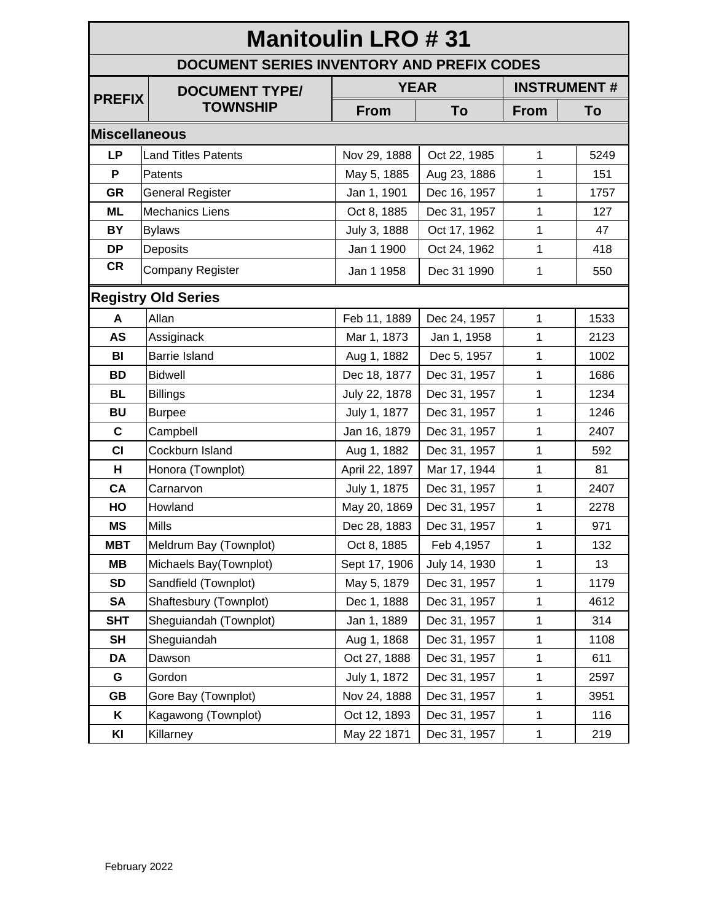## **Manitoulin LRO # 31 DOCUMENT SERIES INVENTORY AND PREFIX CODES PREFIX DOCUMENT TYPE/ TOWNSHIP YEAR INSTRUMENT # From To From To Miscellaneous LP** Land Titles Patents **Nov 29, 1888 Oct 22, 1985** 1 1 5249 **P** Patents May 5, 1885 | Aug 23, 1886 | 1 | 151 **GR** General Register **Juliet 1, 1901 | Dec 16, 1957** 1 1757 **ML** Mechanics Liens **Dec** 31, 1957 | 127 **BY** Bylaws **July 3, 1888 Oct 17, 1962 1 47 DP** Deposits **Jan 1 1900 Oct 24, 1962 1 418**  $CR \mid$  Company Register  $\mid$  Jan 1 1958  $\mid$  Dec 31 1990  $\mid$  1  $\mid$  550 **Registry Old Series A** Allan **Feb 11, 1889 Dec 24, 1957 1 1533 AS** Assiginack Mar 1, 1873 Jan 1, 1958 1 2123 **BI** Barrie Island **Aug 1, 1882 Dec 5, 1957 1 1002 BD** Bidwell **Dec 18, 1877 | Dec 31, 1957 | 1** 1686 **BL** Billings 22, 1878 Dec 31, 1957 1 1234 **BU** Burpee  $\vert$  July 1, 1877 | Dec 31, 1957 | 1 | 1246 **C** Campbell **Jan 16, 1879 Dec 31, 1957 1 2407 CI** Cockburn Island **Aug 1, 1882 | Dec 31, 1957 |** 1 | 592 **H** Honora (Townplot) | April 22, 1897 | Mar 17, 1944 | 1 | 81 **CA** Carnarvon **CA** Carnarvon **CA CA** Carnarvon **CA** 2407 **HO** Howland **May 20, 1869 Dec 31, 1957 1 2278 MS** Mills **Dec 28, 1883 Dec 31, 1957 1 971 MBT** | Meldrum Bay (Townplot) | Oct 8, 1885 | Feb 4, 1957 | 1 | 132 **MB** Michaels Bay(Townplot) Sept 17, 1906 | July 14, 1930 | 1 | 13 **SD** Sandfield (Townplot) May 5, 1879 Dec 31, 1957 1 179 **SA** Shaftesbury (Townplot) | Dec 1, 1888 | Dec 31, 1957 | 1 | 4612 **SHT** Sheguiandah (Townplot) | Jan 1, 1889 | Dec 31, 1957 | 1 | 314 **SH** Sheguiandah | Aug 1, 1868 Dec 31, 1957 | 1 | 1108 **DA** Dawson **Canadia Compare 1** Oct 27, 1888 Dec 31, 1957 1 1 611 **G** Gordon **July 1, 1872 Dec 31, 1957 1 2597 GB** Gore Bay (Townplot) <br> Nov 24, 1888 Dec 31, 1957 <br> 1 3951 **K** | Kagawong (Townplot) | Oct 12, 1893 | Dec 31, 1957 | 1 | 116 **KI** Killarney May 22 1871 Dec 31, 1957 1 219